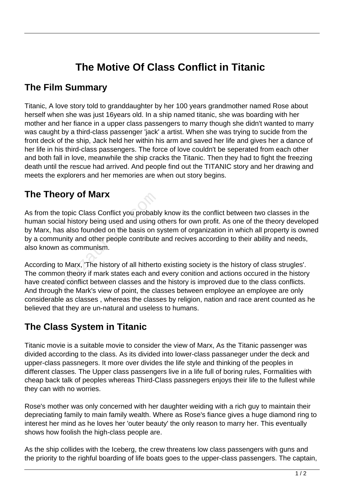## **The Motive Of Class Conflict in Titanic**

## **The Film Summary**

Titanic, A love story told to granddaughter by her 100 years grandmother named Rose about herself when she was just 16years old. In a ship named titanic, she was boarding with her mother and her fiance in a upper class passengers to marry though she didn't wanted to marry was caught by a third-class passenger 'jack' a artist. When she was trying to sucide from the front deck of the ship, Jack held her within his arm and saved her life and gives her a dance of her life in his third-class passengers. The force of love couldn't be seperated from each other and both fall in love, meanwhile the ship cracks the Titanic. Then they had to fight the freezing death until the rescue had arrived. And people find out the TITANIC story and her drawing and meets the explorers and her memories are when out story begins.

## **The Theory of Marx**

As from the topic Class Conflict you probably know its the conflict between two classes in the human social history being used and using others for own profit. As one of the theory developed by Marx, has also founded on the basis on system of organization in which all property is owned by a community and other people contribute and recives according to their ability and needs, also known as communism. **EXTY OT MATX**<br>
e topic Class Conflict you probably<br>
cial history being used and using c<br>
as also founded on the basis on s<br>
nunity and other people contribute<br>
n as communism.<br>
to Marx, 'The history of all hitherto<br>
to Ma

According to Marx, 'The history of all hitherto existing society is the history of class strugles'. The common theory if mark states each and every conition and actions occured in the history have created conflict between classes and the history is improved due to the class conflicts. And through the Mark's view of point, the classes between employee an employee are only considerable as classes , whereas the classes by religion, nation and race arent counted as he believed that they are un-natural and useless to humans.

## **The Class System in Titanic**

Titanic movie is a suitable movie to consider the view of Marx, As the Titanic passenger was divided according to the class. As its divided into lower-class passaneger under the deck and upper-class passnegers. It more over divides the life style and thinking of the peoples in different classes. The Upper class passengers live in a life full of boring rules, Formalities with cheap back talk of peoples whereas Third-Class passnegers enjoys their life to the fullest while they can with no worries.

Rose's mother was only concerned with her daughter weiding with a rich guy to maintain their depreciating family to main family wealth. Where as Rose's fiance gives a huge diamond ring to interest her mind as he loves her 'outer beauty' the only reason to marry her. This eventually shows how foolish the high-class people are.

As the ship collides with the Iceberg, the crew threatens low class passengers with guns and the priority to the righful boarding of life boats goes to the upper-class passengers. The captain,